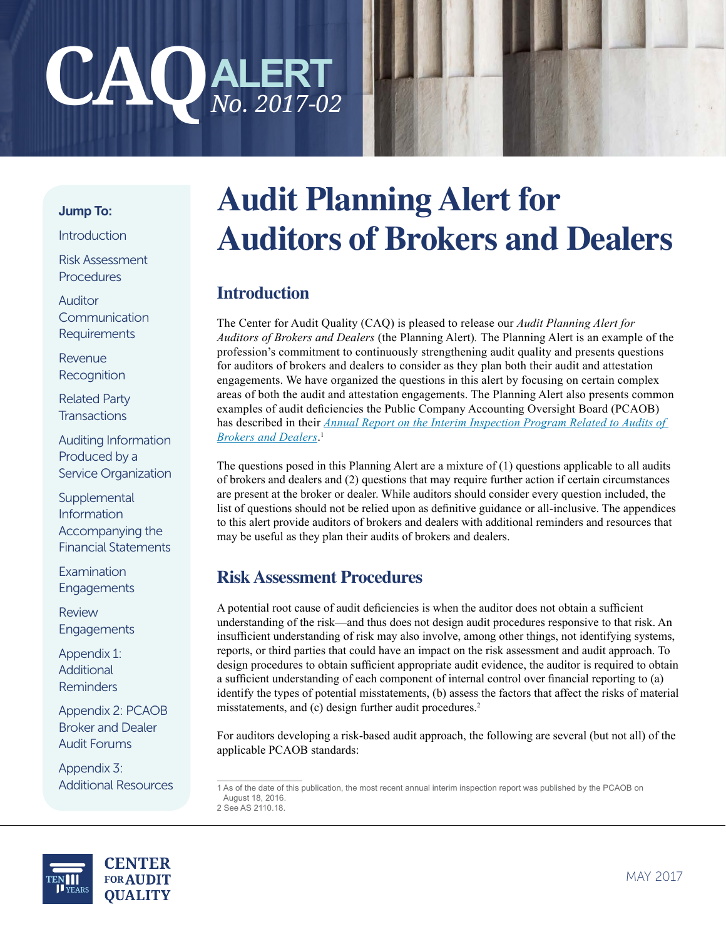



#### **Jump To:**

**Introduction** 

Risk Assessment Procedures

[Auditor](#page-1-0)  **Communication [Requirements](#page-1-0)** 

[Revenue](#page-1-0)  **[Recognition](#page-1-0)** 

[Related Party](#page-4-0)  **[Transactions](#page-4-0)** 

[Auditing Information](#page-5-0)  [Produced by a](#page-5-0)  [Service Organization](#page-5-0)

**Supplemental** [Information](#page-6-0)  [Accompanying the](#page-6-0)  [Financial Statements](#page-6-0)

**Examination [Engagements](#page-7-0)** 

[Review](#page-10-0)  [Engagements](#page-10-0)

[Appendix 1:](#page-11-0)  **Additional** [Reminders](#page-11-0)

[Appendix 2: PCAOB](#page-13-0)  [Broker and Dealer](#page-13-0)  [Audit Forums](#page-13-0)

[Appendix 3:](#page-14-0)  [Additional Resources](#page-14-0)

## **Audit Planning Alert for Auditors of Brokers and Dealers**

## **Introduction**

The Center for Audit Quality (CAQ) is pleased to release our *Audit Planning Alert for Auditors of Brokers and Dealers* (the Planning Alert)*.* The Planning Alert is an example of the profession's commitment to continuously strengthening audit quality and presents questions for auditors of brokers and dealers to consider as they plan both their audit and attestation engagements. We have organized the questions in this alert by focusing on certain complex areas of both the audit and attestation engagements. The Planning Alert also presents common examples of audit deficiencies the Public Company Accounting Oversight Board (PCAOB) has described in their *[Annual Report on the Interim Inspection Program Related to Audits of](https://pcaobus.org/Inspections/Documents/BD-Interim-Inspection-Program-2016.pdf)  [Brokers and Dealers](https://pcaobus.org/Inspections/Documents/BD-Interim-Inspection-Program-2016.pdf)*. 1

The questions posed in this Planning Alert are a mixture of (1) questions applicable to all audits of brokers and dealers and (2) questions that may require further action if certain circumstances are present at the broker or dealer. While auditors should consider every question included, the list of questions should not be relied upon as definitive guidance or all-inclusive. The appendices to this alert provide auditors of brokers and dealers with additional reminders and resources that may be useful as they plan their audits of brokers and dealers.

## **Risk Assessment Procedures**

A potential root cause of audit deficiencies is when the auditor does not obtain a sufficient understanding of the risk—and thus does not design audit procedures responsive to that risk. An insufficient understanding of risk may also involve, among other things, not identifying systems, reports, or third parties that could have an impact on the risk assessment and audit approach. To design procedures to obtain sufficient appropriate audit evidence, the auditor is required to obtain a sufficient understanding of each component of internal control over financial reporting to (a) identify the types of potential misstatements, (b) assess the factors that affect the risks of material misstatements, and (c) design further audit procedures.<sup>2</sup>

For auditors developing a risk-based audit approach, the following are several (but not all) of the applicable PCAOB standards:

1 As of the date of this publication, the most recent annual interim inspection report was published by the PCAOB on August 18, 2016. 2 See AS 2110.18.

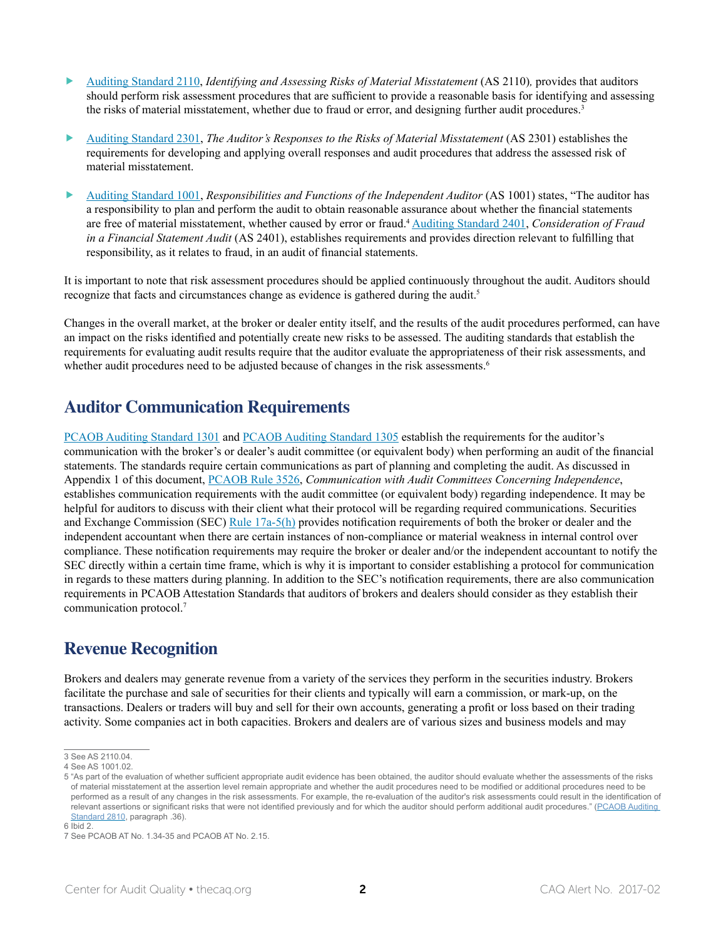- <span id="page-1-0"></span> [Auditing Standard 2110,](https://pcaobus.org/Standards/Auditing/Pages/AS2110.aspx) *Identifying and Assessing Risks of Material Misstatement* (AS 2110)*,* provides that auditors should perform risk assessment procedures that are sufficient to provide a reasonable basis for identifying and assessing the risks of material misstatement, whether due to fraud or error, and designing further audit procedures.<sup>3</sup>
- [Auditing Standard 2301](https://pcaobus.org/Standards/Auditing/Pages/AS2301.aspx), *The Auditor's Responses to the Risks of Material Misstatement* (AS 2301) establishes the requirements for developing and applying overall responses and audit procedures that address the assessed risk of material misstatement.
- [Auditing Standard 1001](https://pcaobus.org/Standards/Auditing/Pages/AS1001.aspx), *Responsibilities and Functions of the Independent Auditor* (AS 1001) states, "The auditor has a responsibility to plan and perform the audit to obtain reasonable assurance about whether the financial statements are free of material misstatement, whether caused by error or fraud.4 [Auditing Standard 2401,](https://pcaobus.org/Standards/Auditing/Pages/AS2401.aspx) *Consideration of Fraud in a Financial Statement Audit* (AS 2401), establishes requirements and provides direction relevant to fulfilling that responsibility, as it relates to fraud, in an audit of financial statements.

It is important to note that risk assessment procedures should be applied continuously throughout the audit. Auditors should recognize that facts and circumstances change as evidence is gathered during the audit.<sup>5</sup>

Changes in the overall market, at the broker or dealer entity itself, and the results of the audit procedures performed, can have an impact on the risks identified and potentially create new risks to be assessed. The auditing standards that establish the requirements for evaluating audit results require that the auditor evaluate the appropriateness of their risk assessments, and whether audit procedures need to be adjusted because of changes in the risk assessments.<sup>6</sup>

## **Auditor Communication Requirements**

[PCAOB Auditing Standard 1301](https://pcaobus.org/Standards/Auditing/Pages/AS1301.aspx) and [PCAOB Auditing Standard 1305](https://pcaobus.org/Standards/Auditing/Pages/AS1305.aspx) establish the requirements for the auditor's communication with the broker's or dealer's audit committee (or equivalent body) when performing an audit of the financial statements. The standards require certain communications as part of planning and completing the audit. As discussed in Appendix 1 of this document, [PCAOB Rule 3526](https://pcaobus.org/Rules/Pages/Section_3.aspx#rule3526), *Communication with Audit Committees Concerning Independence*, establishes communication requirements with the audit committee (or equivalent body) regarding independence. It may be helpful for auditors to discuss with their client what their protocol will be regarding required communications. Securities and Exchange Commission (SEC) [Rule 17a-5\(h\)](https://www.law.cornell.edu/cfr/text/17/240.17a-5) provides notification requirements of both the broker or dealer and the independent accountant when there are certain instances of non-compliance or material weakness in internal control over compliance. These notification requirements may require the broker or dealer and/or the independent accountant to notify the SEC directly within a certain time frame, which is why it is important to consider establishing a protocol for communication in regards to these matters during planning. In addition to the SEC's notification requirements, there are also communication requirements in PCAOB Attestation Standards that auditors of brokers and dealers should consider as they establish their communication protocol.<sup>7</sup>

## **Revenue Recognition**

Brokers and dealers may generate revenue from a variety of the services they perform in the securities industry. Brokers facilitate the purchase and sale of securities for their clients and typically will earn a commission, or mark-up, on the transactions. Dealers or traders will buy and sell for their own accounts, generating a profit or loss based on their trading activity. Some companies act in both capacities. Brokers and dealers are of various sizes and business models and may

<sup>3</sup> See AS 2110.04.

<sup>4</sup> See AS 1001.02.

<sup>5 &</sup>quot;As part of the evaluation of whether sufficient appropriate audit evidence has been obtained, the auditor should evaluate whether the assessments of the risks of material misstatement at the assertion level remain appropriate and whether the audit procedures need to be modified or additional procedures need to be performed as a result of any changes in the risk assessments. For example, the re-evaluation of the auditor's risk assessments could result in the identification of relevant assertions or significant risks that were not identified previously and for which the auditor should perform additional audit procedures." (PCAOB Auditing [Standard 2810,](https://pcaobus.org/Standards/Auditing/Pages/AS2810.aspx) paragraph .36).

<sup>6</sup> Ibid 2.

<sup>7</sup> See PCAOB AT No. 1.34-35 and PCAOB AT No. 2.15.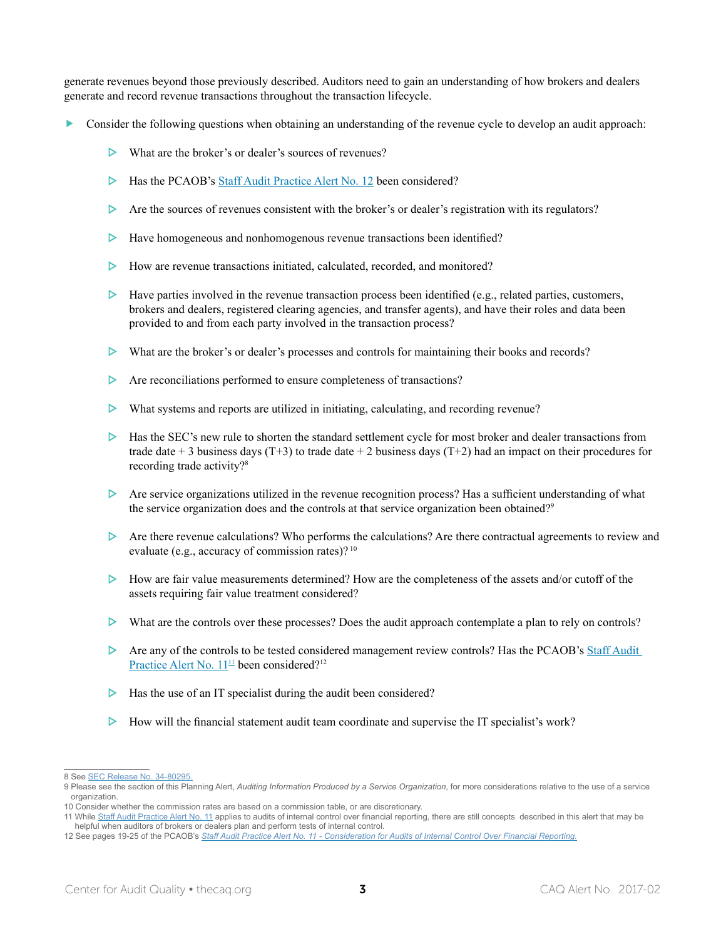generate revenues beyond those previously described. Auditors need to gain an understanding of how brokers and dealers generate and record revenue transactions throughout the transaction lifecycle.

- Consider the following questions when obtaining an understanding of the revenue cycle to develop an audit approach:
	- What are the broker's or dealer's sources of revenues?
	- ▶ Has the PCAOB's [Staff Audit Practice Alert No. 12](https://pcaobus.org/Standards/QandA/9-9-14_SAPA_12.pdf) been considered?
	- $\triangleright$  Are the sources of revenues consistent with the broker's or dealer's registration with its regulators?
	- $\triangleright$  Have homogeneous and nonhomogenous revenue transactions been identified?
	- How are revenue transactions initiated, calculated, recorded, and monitored?
	- $\triangleright$  Have parties involved in the revenue transaction process been identified (e.g., related parties, customers, brokers and dealers, registered clearing agencies, and transfer agents), and have their roles and data been provided to and from each party involved in the transaction process?
	- What are the broker's or dealer's processes and controls for maintaining their books and records?
	- Are reconciliations performed to ensure completeness of transactions?
	- What systems and reports are utilized in initiating, calculating, and recording revenue?
	- $\triangleright$  Has the SEC's new rule to shorten the standard settlement cycle for most broker and dealer transactions from trade date  $+3$  business days (T+3) to trade date  $+2$  business days (T+2) had an impact on their procedures for recording trade activity?<sup>8</sup>
	- $\triangleright$  Are service organizations utilized in the revenue recognition process? Has a sufficient understanding of what the service organization does and the controls at that service organization been obtained?<sup>9</sup>
	- $\triangleright$  Are there revenue calculations? Who performs the calculations? Are there contractual agreements to review and evaluate (e.g., accuracy of commission rates)? 10
	- $\triangleright$  How are fair value measurements determined? How are the completeness of the assets and/or cutoff of the assets requiring fair value treatment considered?
	- $\triangleright$  What are the controls over these processes? Does the audit approach contemplate a plan to rely on controls?
	- Are any of the controls to be tested considered management review controls? Has the PCAOB's [Staff Audit](https://pcaobus.org/Standards/QandA/10-24-2013_SAPA_11.pdf)  Practice Alert No. 11<sup>11</sup> been considered?<sup>12</sup>
	- $\triangleright$  Has the use of an IT specialist during the audit been considered?
	- $\triangleright$  How will the financial statement audit team coordinate and supervise the IT specialist's work?

<sup>8</sup> See [SEC Release No. 34-80295.](https://www.sec.gov/rules/final/2017/34-80295.pdf)

<sup>9</sup> Please see the section of this Planning Alert, *Auditing Information Produced by a Service Organization*, for more considerations relative to the use of a service organization

<sup>10</sup> Consider whether the commission rates are based on a commission table, or are discretionary.

<sup>11</sup> While [Staff Audit Practice Alert No. 11](https://pcaobus.org/Standards/QandA/10-24-2013_SAPA_11.pdf) applies to audits of internal control over financial reporting, there are still concepts described in this alert that may be helpful when auditors of brokers or dealers plan and perform tests of internal control.

<sup>12</sup> See pages 19-25 of the PCAOB's *[Staff Audit Practice Alert No. 11 - Consideration for Audits of Internal Control Over Financial Reporting.](https://pcaobus.org/Standards/QandA/10-24-2013_SAPA_11.pdf)*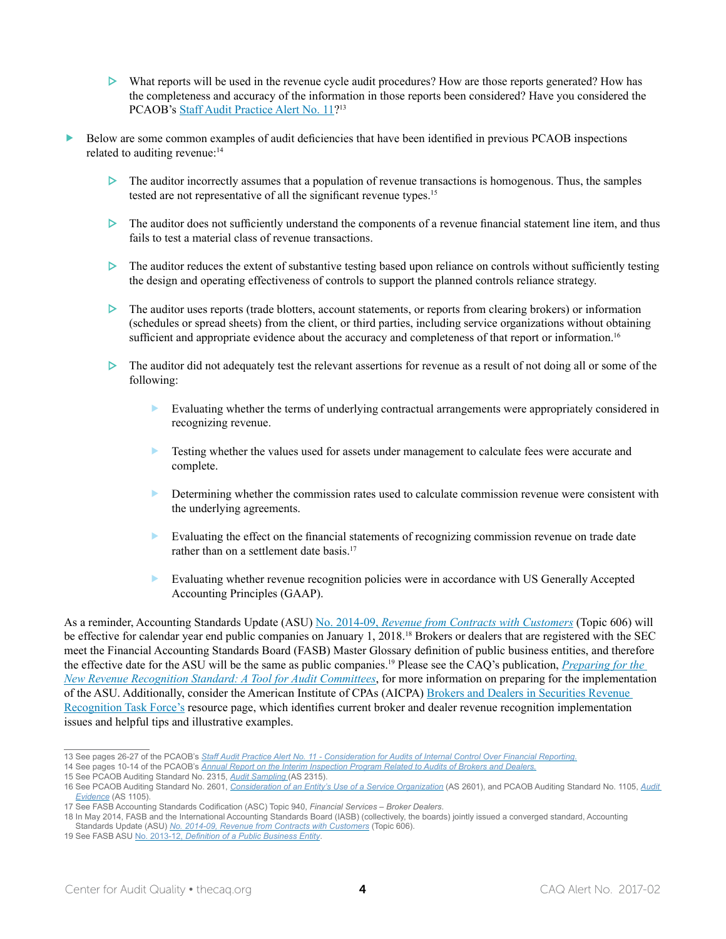- $\triangleright$  What reports will be used in the revenue cycle audit procedures? How are those reports generated? How has the completeness and accuracy of the information in those reports been considered? Have you considered the PCAOB's [Staff Audit Practice Alert No. 11?](https://pcaobus.org/Standards/QandA/10-24-2013_SAPA_11.pdf)<sup>13</sup>
- Below are some common examples of audit deficiencies that have been identified in previous PCAOB inspections related to auditing revenue:<sup>14</sup>
	- $\triangleright$  The auditor incorrectly assumes that a population of revenue transactions is homogenous. Thus, the samples tested are not representative of all the significant revenue types.<sup>15</sup>
	- $\triangleright$  The auditor does not sufficiently understand the components of a revenue financial statement line item, and thus fails to test a material class of revenue transactions.
	- $\triangleright$  The auditor reduces the extent of substantive testing based upon reliance on controls without sufficiently testing the design and operating effectiveness of controls to support the planned controls reliance strategy.
	- $\triangleright$  The auditor uses reports (trade blotters, account statements, or reports from clearing brokers) or information (schedules or spread sheets) from the client, or third parties, including service organizations without obtaining sufficient and appropriate evidence about the accuracy and completeness of that report or information.<sup>16</sup>
	- $\triangleright$  The auditor did not adequately test the relevant assertions for revenue as a result of not doing all or some of the following:
		- Evaluating whether the terms of underlying contractual arrangements were appropriately considered in recognizing revenue.
		- Testing whether the values used for assets under management to calculate fees were accurate and complete.
		- **EXECUTE:** Determining whether the commission rates used to calculate commission revenue were consistent with the underlying agreements.
		- Evaluating the effect on the financial statements of recognizing commission revenue on trade date rather than on a settlement date basis.<sup>17</sup>
		- **Evaluating whether revenue recognition policies were in accordance with US Generally Accepted** Accounting Principles (GAAP).

As a reminder, Accounting Standards Update (ASU) No. 2014-09, *[Revenue from Contracts with Customers](http://www.fasb.org/jsp/FASB/Document_C/DocumentPage?cid=1176164076069&acceptedDisclaimer=true)* (Topic 606) will be effective for calendar year end public companies on January 1, 2018.18 Brokers or dealers that are registered with the SEC meet the Financial Accounting Standards Board (FASB) Master Glossary definition of public business entities, and therefore the effective date for the ASU will be the same as public companies.19 Please see the CAQ's publication, *[Preparing for the](http://www.thecaq.org/preparing-new-revenue-recognition-standard-tool-audit-committees)  [New Revenue Recognition Standard: A Tool for Audit Committees](http://www.thecaq.org/preparing-new-revenue-recognition-standard-tool-audit-committees)*, for more information on preparing for the implementation of the ASU. Additionally, consider the American Institute of CPAs (AICPA) [Brokers and Dealers in Securities Revenue](https://www.aicpa.org/interestareas/frc/accountingfinancialreporting/revenuerecognition/pages/rrtf-brokerdealer.aspx)  [Recognition Task Force's](https://www.aicpa.org/interestareas/frc/accountingfinancialreporting/revenuerecognition/pages/rrtf-brokerdealer.aspx) resource page, which identifies current broker and dealer revenue recognition implementation issues and helpful tips and illustrative examples.

<sup>13</sup> See pages 26-27 of the PCAOB's *[Staff Audit Practice Alert No. 11 - Consideration for Audits of Internal Control Over Financial Reporting.](https://pcaobus.org/Standards/QandA/10-24-2013_SAPA_11.pdf)*

<sup>14</sup> See pages 10-14 of the PCAOB's *[Annual Report on the Interim Inspection Program Related to Audits of Brokers and Dealers.](https://pcaobus.org/Inspections/Documents/BD-Interim-Inspection-Program-2016.pdf)*

<sup>15</sup> See PCAOB Auditing Standard No. 2315, *[Audit Sampling](https://pcaobus.org/Standards/Auditing/Pages/AS2315.aspx)* (AS 2315).

<sup>16</sup> See PCAOB Auditing Standard No. 2601, *[Consideration of an Entity's Use of a Service Organization](https://pcaobus.org/Standards/Auditing/Pages/AS2601.aspx)* (AS 2601), and PCAOB Auditing Standard No. 1105, *[Audit](https://pcaobus.org/Standards/Auditing/Pages/AS1105.aspx)  [Evidence](https://pcaobus.org/Standards/Auditing/Pages/AS1105.aspx)* (AS 1105).

<sup>17</sup> See FASB Accounting Standards Codification (ASC) Topic 940, *Financial Services – Broker Dealers*.

<sup>18</sup> In May 2014, FASB and the International Accounting Standards Board (IASB) (collectively, the boards) jointly issued a converged standard, Accounting Standards Update (ASU) *[No. 2014-09, Revenue from Contracts with Customers](http://www.fasb.org/jsp/FASB/Document_C/DocumentPage?cid=1176164076069&acceptedDisclaimer=true)* (Topic 606).

<sup>19</sup> See FASB ASU No. 2013-12, *[Definition of a Public Business Entity](http://www.fasb.org/jsp/FASB/Document_C/DocumentPage?cid=1176163702930&acceptedDisclaimer=true)*.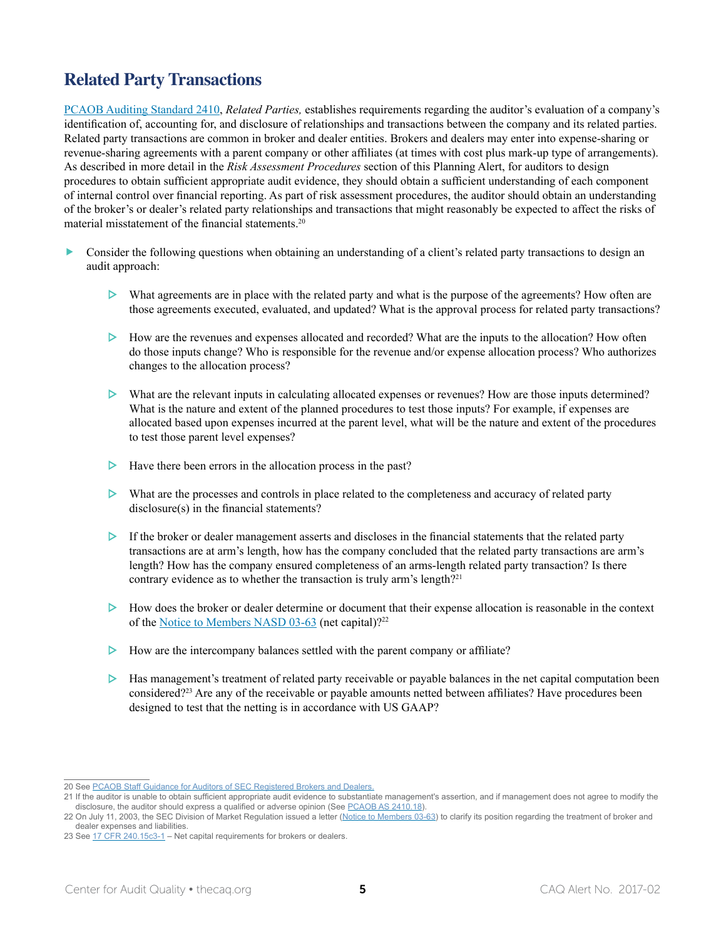## <span id="page-4-0"></span>**Related Party Transactions**

[PCAOB Auditing Standard 2410](https://pcaobus.org/Standards/Auditing/Pages/AS2410.aspx), *Related Parties,* establishes requirements regarding the auditor's evaluation of a company's identification of, accounting for, and disclosure of relationships and transactions between the company and its related parties. Related party transactions are common in broker and dealer entities. Brokers and dealers may enter into expense-sharing or revenue-sharing agreements with a parent company or other affiliates (at times with cost plus mark-up type of arrangements). As described in more detail in the *Risk Assessment Procedures* section of this Planning Alert, for auditors to design procedures to obtain sufficient appropriate audit evidence, they should obtain a sufficient understanding of each component of internal control over financial reporting. As part of risk assessment procedures, the auditor should obtain an understanding of the broker's or dealer's related party relationships and transactions that might reasonably be expected to affect the risks of material misstatement of the financial statements.<sup>20</sup>

- Consider the following questions when obtaining an understanding of a client's related party transactions to design an audit approach:
	- $\triangleright$  What agreements are in place with the related party and what is the purpose of the agreements? How often are those agreements executed, evaluated, and updated? What is the approval process for related party transactions?
	- $\triangleright$  How are the revenues and expenses allocated and recorded? What are the inputs to the allocation? How often do those inputs change? Who is responsible for the revenue and/or expense allocation process? Who authorizes changes to the allocation process?
	- What are the relevant inputs in calculating allocated expenses or revenues? How are those inputs determined? What is the nature and extent of the planned procedures to test those inputs? For example, if expenses are allocated based upon expenses incurred at the parent level, what will be the nature and extent of the procedures to test those parent level expenses?
	- $\triangleright$  Have there been errors in the allocation process in the past?
	- $\triangleright$  What are the processes and controls in place related to the completeness and accuracy of related party disclosure(s) in the financial statements?
	- $\triangleright$  If the broker or dealer management asserts and discloses in the financial statements that the related party transactions are at arm's length, how has the company concluded that the related party transactions are arm's length? How has the company ensured completeness of an arms-length related party transaction? Is there contrary evidence as to whether the transaction is truly arm's length?<sup>21</sup>
	- $\triangleright$  How does the broker or dealer determine or document that their expense allocation is reasonable in the context of the [Notice to Members NASD 03-63](http://www.finra.org/sites/default/files/NoticeDocument/p003103.pdf) (net capital)?22
	- $\triangleright$  How are the intercompany balances settled with the parent company or affiliate?
	- $\triangleright$  Has management's treatment of related party receivable or payable balances in the net capital computation been considered?23 Are any of the receivable or payable amounts netted between affiliates? Have procedures been designed to test that the netting is in accordance with US GAAP?

<sup>20</sup> See [PCAOB Staff Guidance for Auditors of SEC Registered Brokers and Dealers.](https://pcaobus.org/Standards/Documents/06262014_Staff_Guidance.pdf)

<sup>21</sup> If the auditor is unable to obtain sufficient appropriate audit evidence to substantiate management's assertion, and if management does not agree to modify the disclosure, the auditor should express a qualified or adverse opinion (See [PCAOB AS 2410.18\)](https://pcaobus.org/Standards/Auditing/Pages/AS2410.aspx)

<sup>22</sup> On July 11, 2003, the SEC Division of Market Regulation issued a letter ([Notice to Members 03-63](http://www.finra.org/sites/default/files/NoticeDocument/p003103.pdf)) to clarify its position regarding the treatment of broker and dealer expenses and liabilities.

<sup>23</sup> See  $17$  CFR 240.15c3-1 – Net capital requirements for brokers or dealers.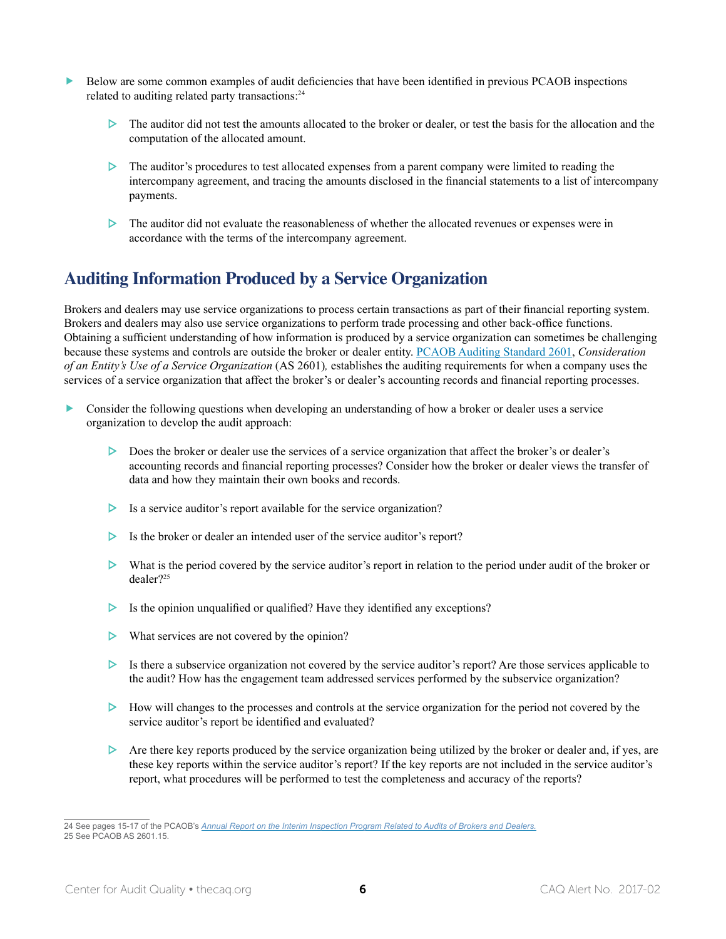- <span id="page-5-0"></span> Below are some common examples of audit deficiencies that have been identified in previous PCAOB inspections related to auditing related party transactions:<sup>24</sup>
	- $\triangleright$  The auditor did not test the amounts allocated to the broker or dealer, or test the basis for the allocation and the computation of the allocated amount.
	- $\triangleright$  The auditor's procedures to test allocated expenses from a parent company were limited to reading the intercompany agreement, and tracing the amounts disclosed in the financial statements to a list of intercompany payments.
	- $\triangleright$  The auditor did not evaluate the reasonableness of whether the allocated revenues or expenses were in accordance with the terms of the intercompany agreement.

## **Auditing Information Produced by a Service Organization**

Brokers and dealers may use service organizations to process certain transactions as part of their financial reporting system. Brokers and dealers may also use service organizations to perform trade processing and other back-office functions. Obtaining a sufficient understanding of how information is produced by a service organization can sometimes be challenging because these systems and controls are outside the broker or dealer entity. [PCAOB Auditing Standard 2601](https://pcaobus.org/Standards/Auditing/Pages/AS2601.aspx), *Consideration of an Entity's Use of a Service Organization* (AS 2601)*,* establishes the auditing requirements for when a company uses the services of a service organization that affect the broker's or dealer's accounting records and financial reporting processes.

- Consider the following questions when developing an understanding of how a broker or dealer uses a service organization to develop the audit approach:
	- $\triangleright$  Does the broker or dealer use the services of a service organization that affect the broker's or dealer's accounting records and financial reporting processes? Consider how the broker or dealer views the transfer of data and how they maintain their own books and records.
	- $\triangleright$  Is a service auditor's report available for the service organization?
	- Is the broker or dealer an intended user of the service auditor's report?
	- $\triangleright$  What is the period covered by the service auditor's report in relation to the period under audit of the broker or dealer?25
	- $\triangleright$  Is the opinion unqualified or qualified? Have they identified any exceptions?
	- $\triangleright$  What services are not covered by the opinion?
	- $\triangleright$  Is there a subservice organization not covered by the service auditor's report? Are those services applicable to the audit? How has the engagement team addressed services performed by the subservice organization?
	- $\triangleright$  How will changes to the processes and controls at the service organization for the period not covered by the service auditor's report be identified and evaluated?
	- $\triangleright$  Are there key reports produced by the service organization being utilized by the broker or dealer and, if yes, are these key reports within the service auditor's report? If the key reports are not included in the service auditor's report, what procedures will be performed to test the completeness and accuracy of the reports?

<sup>24</sup> See pages 15-17 of the PCAOB's *[Annual Report on the Interim Inspection Program Related to Audits of Brokers and Dealers.](https://pcaobus.org/Inspections/Documents/BD-Interim-Inspection-Program-2016.pdf)* 25 See PCAOB AS 2601.15.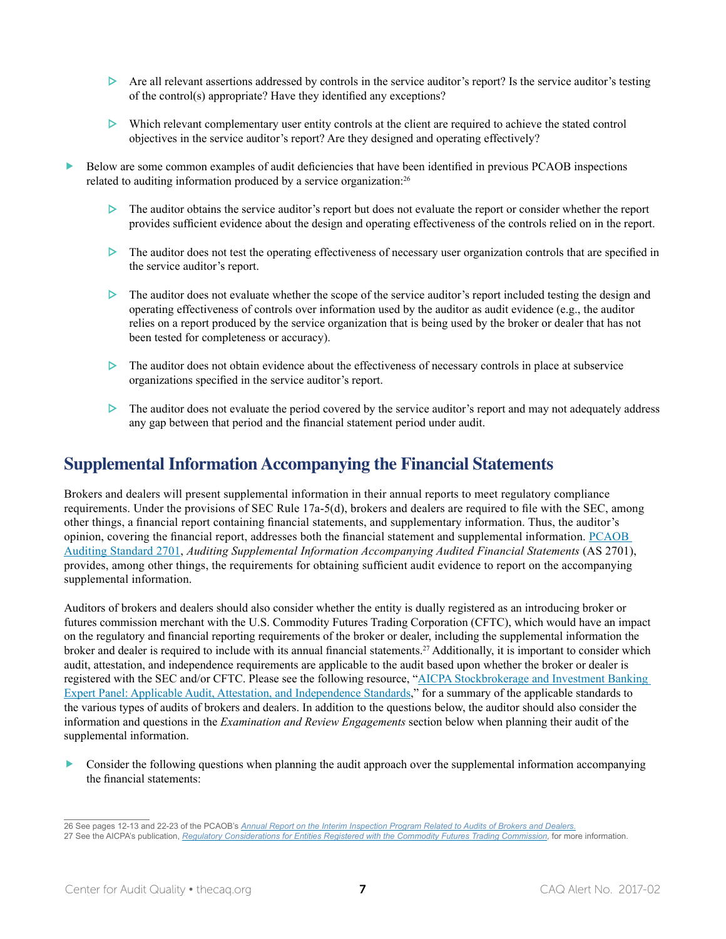- <span id="page-6-0"></span> $\triangleright$  Are all relevant assertions addressed by controls in the service auditor's report? Is the service auditor's testing of the control(s) appropriate? Have they identified any exceptions?
- $\triangleright$  Which relevant complementary user entity controls at the client are required to achieve the stated control objectives in the service auditor's report? Are they designed and operating effectively?
- Below are some common examples of audit deficiencies that have been identified in previous PCAOB inspections related to auditing information produced by a service organization:<sup>26</sup>
	- $\triangleright$  The auditor obtains the service auditor's report but does not evaluate the report or consider whether the report provides sufficient evidence about the design and operating effectiveness of the controls relied on in the report.
	- $\triangleright$  The auditor does not test the operating effectiveness of necessary user organization controls that are specified in the service auditor's report.
	- $\triangleright$  The auditor does not evaluate whether the scope of the service auditor's report included testing the design and operating effectiveness of controls over information used by the auditor as audit evidence (e.g., the auditor relies on a report produced by the service organization that is being used by the broker or dealer that has not been tested for completeness or accuracy).
	- $\triangleright$  The auditor does not obtain evidence about the effectiveness of necessary controls in place at subservice organizations specified in the service auditor's report.
	- $\triangleright$  The auditor does not evaluate the period covered by the service auditor's report and may not adequately address any gap between that period and the financial statement period under audit.

#### **Supplemental Information Accompanying the Financial Statements**

Brokers and dealers will present supplemental information in their annual reports to meet regulatory compliance requirements. Under the provisions of SEC Rule 17a-5(d), brokers and dealers are required to file with the SEC, among other things, a financial report containing financial statements, and supplementary information. Thus, the auditor's opinion, covering the financial report, addresses both the financial statement and supplemental information. [PCAOB](https://pcaobus.org/Standards/Auditing/Pages/AS2701.aspx)  [Auditing Standard 2701](https://pcaobus.org/Standards/Auditing/Pages/AS2701.aspx), *Auditing Supplemental Information Accompanying Audited Financial Statements* (AS 2701), provides, among other things, the requirements for obtaining sufficient audit evidence to report on the accompanying supplemental information.

Auditors of brokers and dealers should also consider whether the entity is dually registered as an introducing broker or futures commission merchant with the U.S. Commodity Futures Trading Corporation (CFTC), which would have an impact on the regulatory and financial reporting requirements of the broker or dealer, including the supplemental information the broker and dealer is required to include with its annual financial statements.27 Additionally, it is important to consider which audit, attestation, and independence requirements are applicable to the audit based upon whether the broker or dealer is registered with the SEC and/or CFTC. Please see the following resource, "[AICPA Stockbrokerage and Investment Banking](https://www.aicpa.org/InterestAreas/FRC/IndustryInsights/DownloadableDocuments/BRD/BRD_EP_Applicable_Standards.pdf)  [Expert Panel: Applicable Audit, Attestation, and Independence Standards](https://www.aicpa.org/InterestAreas/FRC/IndustryInsights/DownloadableDocuments/BRD/BRD_EP_Applicable_Standards.pdf)," for a summary of the applicable standards to the various types of audits of brokers and dealers. In addition to the questions below, the auditor should also consider the information and questions in the *Examination and Review Engagements* section below when planning their audit of the supplemental information.

 Consider the following questions when planning the audit approach over the supplemental information accompanying the financial statements:

<sup>26</sup> See pages 12-13 and 22-23 of the PCAOB's *[Annual Report on the Interim Inspection Program Related to Audits of Brokers and Dealers](https://pcaobus.org/Inspections/Documents/BD-Interim-Inspection-Program-2016.pdf)*.

<sup>27</sup> See the AICPA's publication, *[Regulatory Considerations for Entities Registered with the Commodity Futures Trading Commission,](https://www.aicpa.org/InterestAreas/FRC/IndustryInsights/DownloadableDocuments/BRD/CFTC_Reg_Considerations.pdf)* for more information.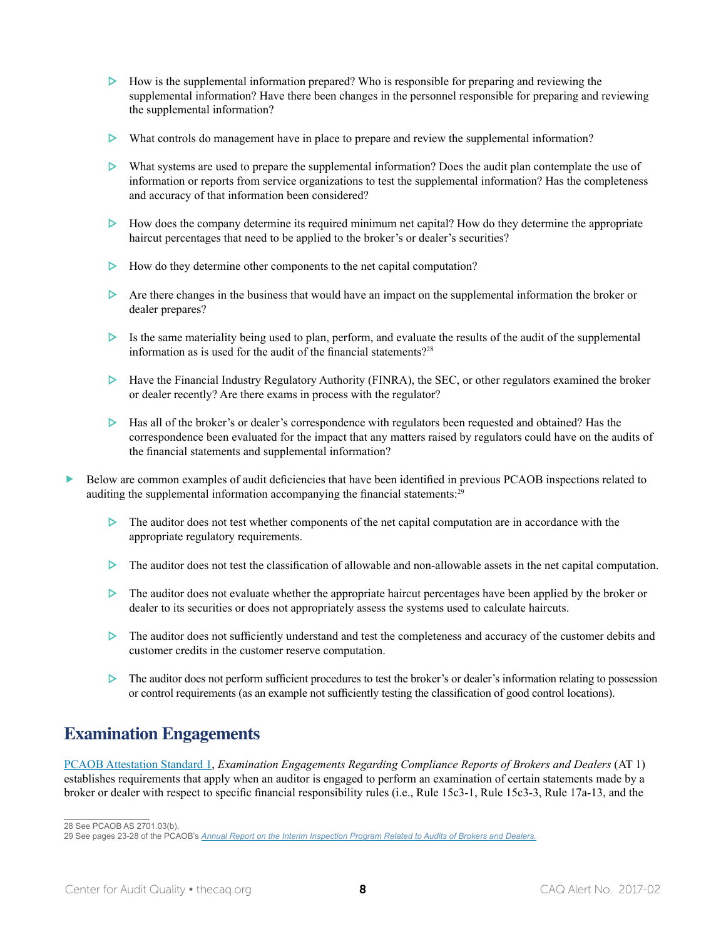- <span id="page-7-0"></span> $\triangleright$  How is the supplemental information prepared? Who is responsible for preparing and reviewing the supplemental information? Have there been changes in the personnel responsible for preparing and reviewing the supplemental information?
- $\triangleright$  What controls do management have in place to prepare and review the supplemental information?
- $\triangleright$  What systems are used to prepare the supplemental information? Does the audit plan contemplate the use of information or reports from service organizations to test the supplemental information? Has the completeness and accuracy of that information been considered?
- $\triangleright$  How does the company determine its required minimum net capital? How do they determine the appropriate haircut percentages that need to be applied to the broker's or dealer's securities?
- $\triangleright$  How do they determine other components to the net capital computation?
- $\triangleright$  Are there changes in the business that would have an impact on the supplemental information the broker or dealer prepares?
- $\triangleright$  Is the same materiality being used to plan, perform, and evaluate the results of the audit of the supplemental information as is used for the audit of the financial statements? $28$
- $\triangleright$  Have the Financial Industry Regulatory Authority (FINRA), the SEC, or other regulators examined the broker or dealer recently? Are there exams in process with the regulator?
- $\triangleright$  Has all of the broker's or dealer's correspondence with regulators been requested and obtained? Has the correspondence been evaluated for the impact that any matters raised by regulators could have on the audits of the financial statements and supplemental information?
- Below are common examples of audit deficiencies that have been identified in previous PCAOB inspections related to auditing the supplemental information accompanying the financial statements:<sup>29</sup>
	- $\triangleright$  The auditor does not test whether components of the net capital computation are in accordance with the appropriate regulatory requirements.
	- $\triangleright$  The auditor does not test the classification of allowable and non-allowable assets in the net capital computation.
	- $\triangleright$  The auditor does not evaluate whether the appropriate haircut percentages have been applied by the broker or dealer to its securities or does not appropriately assess the systems used to calculate haircuts.
	- $\triangleright$  The auditor does not sufficiently understand and test the completeness and accuracy of the customer debits and customer credits in the customer reserve computation.
	- $\triangleright$  The auditor does not perform sufficient procedures to test the broker's or dealer's information relating to possession or control requirements (as an example not sufficiently testing the classification of good control locations).

#### **Examination Engagements**

[PCAOB Attestation Standard 1](https://pcaobus.org/Standards/Attestation/Pages/AT1.aspx), *Examination Engagements Regarding Compliance Reports of Brokers and Dealers* (AT 1) establishes requirements that apply when an auditor is engaged to perform an examination of certain statements made by a broker or dealer with respect to specific financial responsibility rules (i.e., Rule 15c3-1, Rule 15c3-3, Rule 17a-13, and the

<sup>28</sup> See PCAOB AS 2701.03(b).

<sup>29</sup> See pages 23-28 of the PCAOB's *[Annual Report on the Interim Inspection Program Related to Audits of Brokers and Dealers.](https://pcaobus.org/Inspections/Documents/BD-Interim-Inspection-Program-2016.pdf)*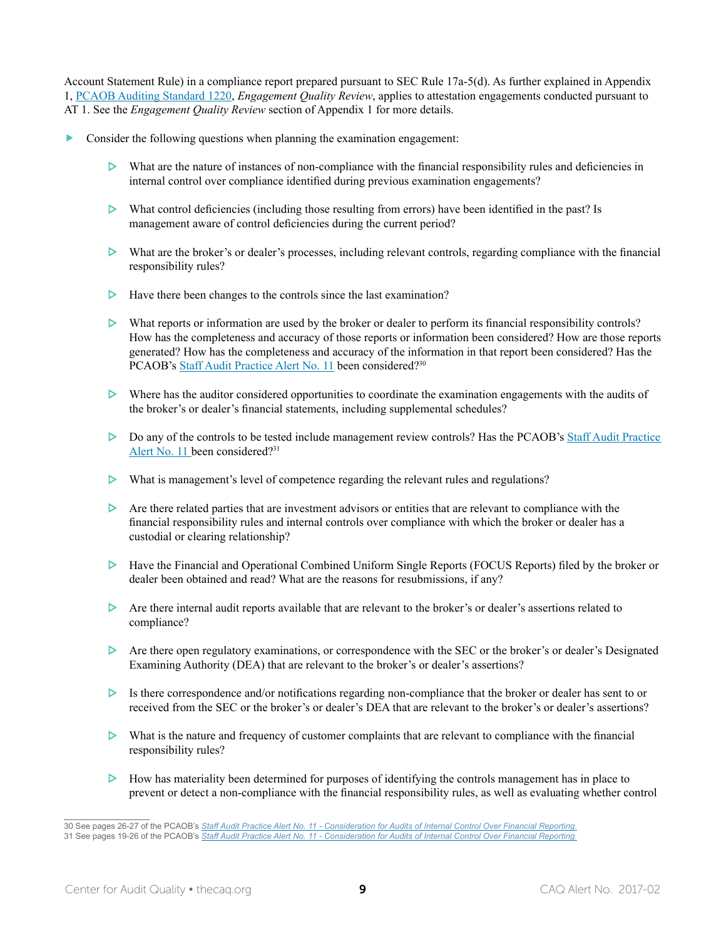Account Statement Rule) in a compliance report prepared pursuant to SEC Rule 17a-5(d). As further explained in Appendix 1, [PCAOB Auditing Standard 1220](https://pcaobus.org/Standards/Auditing/Pages/AS1220.aspx), *Engagement Quality Review*, applies to attestation engagements conducted pursuant to AT 1. See the *Engagement Quality Review* section of Appendix 1 for more details.

- Consider the following questions when planning the examination engagement:
	- $\triangleright$  What are the nature of instances of non-compliance with the financial responsibility rules and deficiencies in internal control over compliance identified during previous examination engagements?
	- $\triangleright$  What control deficiencies (including those resulting from errors) have been identified in the past? Is management aware of control deficiencies during the current period?
	- $\triangleright$  What are the broker's or dealer's processes, including relevant controls, regarding compliance with the financial responsibility rules?
	- $\triangleright$  Have there been changes to the controls since the last examination?
	- What reports or information are used by the broker or dealer to perform its financial responsibility controls? How has the completeness and accuracy of those reports or information been considered? How are those reports generated? How has the completeness and accuracy of the information in that report been considered? Has the PCAOB's [Staff Audit Practice Alert No. 11](https://pcaobus.org/Standards/QandA/10-24-2013_SAPA_11.pdf) been considered?<sup>30</sup>
	- $\triangleright$  Where has the auditor considered opportunities to coordinate the examination engagements with the audits of the broker's or dealer's financial statements, including supplemental schedules?
	- Do any of the controls to be tested include management review controls? Has the PCAOB's [Staff Audit Practice](https://pcaobus.org/Standards/QandA/10-24-2013_SAPA_11.pdf)  [Alert No. 11](https://pcaobus.org/Standards/QandA/10-24-2013_SAPA_11.pdf) been considered?<sup>31</sup>
	- $\triangleright$  What is management's level of competence regarding the relevant rules and regulations?
	- $\triangleright$  Are there related parties that are investment advisors or entities that are relevant to compliance with the financial responsibility rules and internal controls over compliance with which the broker or dealer has a custodial or clearing relationship?
	- Have the Financial and Operational Combined Uniform Single Reports (FOCUS Reports) filed by the broker or dealer been obtained and read? What are the reasons for resubmissions, if any?
	- $\triangleright$  Are there internal audit reports available that are relevant to the broker's or dealer's assertions related to compliance?
	- $\triangleright$  Are there open regulatory examinations, or correspondence with the SEC or the broker's or dealer's Designated Examining Authority (DEA) that are relevant to the broker's or dealer's assertions?
	- $\triangleright$  Is there correspondence and/or notifications regarding non-compliance that the broker or dealer has sent to or received from the SEC or the broker's or dealer's DEA that are relevant to the broker's or dealer's assertions?
	- $\triangleright$  What is the nature and frequency of customer complaints that are relevant to compliance with the financial responsibility rules?
	- $\triangleright$  How has materiality been determined for purposes of identifying the controls management has in place to prevent or detect a non-compliance with the financial responsibility rules, as well as evaluating whether control

<sup>30</sup> See pages 26-27 of the PCAOB's *[Staff Audit Practice Alert No. 11 - Consideration for Audits of Internal Control Over Financial Reporting.](https://pcaobus.org/Standards/QandA/10-24-2013_SAPA_11.pdf)*

<sup>31</sup> See pages 19-26 of the PCAOB's *[Staff Audit Practice Alert No. 11 - Consideration for Audits of Internal Control Over Financial Reporting.](https://pcaobus.org/Standards/QandA/10-24-2013_SAPA_11.pdf)*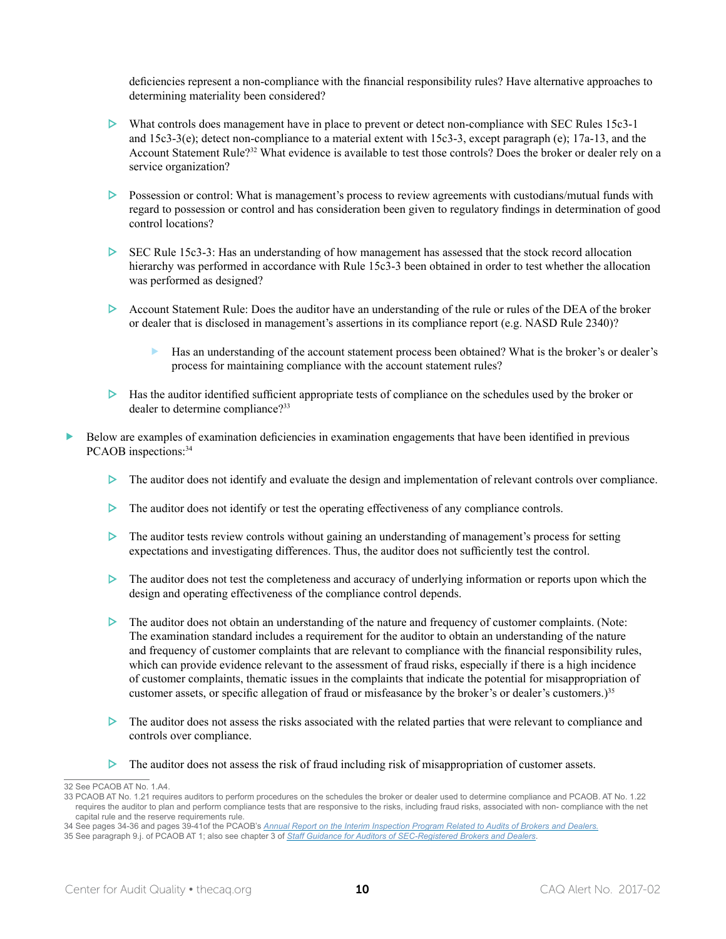deficiencies represent a non-compliance with the financial responsibility rules? Have alternative approaches to determining materiality been considered?

- What controls does management have in place to prevent or detect non-compliance with SEC Rules 15c3-1 and 15c3-3(e); detect non-compliance to a material extent with 15c3-3, except paragraph (e); 17a-13, and the Account Statement Rule?32 What evidence is available to test those controls? Does the broker or dealer rely on a service organization?
- **Possession or control:** What is management's process to review agreements with custodians/mutual funds with regard to possession or control and has consideration been given to regulatory findings in determination of good control locations?
- SEC Rule 15c3-3: Has an understanding of how management has assessed that the stock record allocation hierarchy was performed in accordance with Rule 15c3-3 been obtained in order to test whether the allocation was performed as designed?
- $\triangleright$  Account Statement Rule: Does the auditor have an understanding of the rule or rules of the DEA of the broker or dealer that is disclosed in management's assertions in its compliance report (e.g. NASD Rule 2340)?
	- Has an understanding of the account statement process been obtained? What is the broker's or dealer's process for maintaining compliance with the account statement rules?
- $\triangleright$  Has the auditor identified sufficient appropriate tests of compliance on the schedules used by the broker or dealer to determine compliance?<sup>33</sup>
- Below are examples of examination deficiencies in examination engagements that have been identified in previous PCAOB inspections: 34
	- $\triangleright$  The auditor does not identify and evaluate the design and implementation of relevant controls over compliance.
	- $\triangleright$  The auditor does not identify or test the operating effectiveness of any compliance controls.
	- $\triangleright$  The auditor tests review controls without gaining an understanding of management's process for setting expectations and investigating differences. Thus, the auditor does not sufficiently test the control.
	- $\triangleright$  The auditor does not test the completeness and accuracy of underlying information or reports upon which the design and operating effectiveness of the compliance control depends.
	- $\triangleright$  The auditor does not obtain an understanding of the nature and frequency of customer complaints. (Note: The examination standard includes a requirement for the auditor to obtain an understanding of the nature and frequency of customer complaints that are relevant to compliance with the financial responsibility rules, which can provide evidence relevant to the assessment of fraud risks, especially if there is a high incidence of customer complaints, thematic issues in the complaints that indicate the potential for misappropriation of customer assets, or specific allegation of fraud or misfeasance by the broker's or dealer's customers.)<sup>35</sup>
	- $\triangleright$  The auditor does not assess the risks associated with the related parties that were relevant to compliance and controls over compliance.
	- $\triangleright$  The auditor does not assess the risk of fraud including risk of misappropriation of customer assets.

<sup>32</sup> See PCAOB AT No. 1.A4.

<sup>33</sup> PCAOB AT No. 1.21 requires auditors to perform procedures on the schedules the broker or dealer used to determine compliance and PCAOB. AT No. 1.22 requires the auditor to plan and perform compliance tests that are responsive to the risks, including fraud risks, associated with non- compliance with the net capital rule and the reserve requirements rule.

<sup>34</sup> See pages 34-36 and pages 39-41of the PCAOB's *[Annual Report on the Interim Inspection Program Related to Audits of Brokers and Dealers](https://pcaobus.org/Inspections/Documents/BD-Interim-Inspection-Program-2016.pdf).*

<sup>35</sup> See paragraph 9.j. of PCAOB AT 1; also see chapter 3 of *[Staff Guidance for Auditors of SEC-Registered Brokers and Dealers](https://pcaobus.org/Standards/Documents/06262014_Staff_Guidance.pdf)*.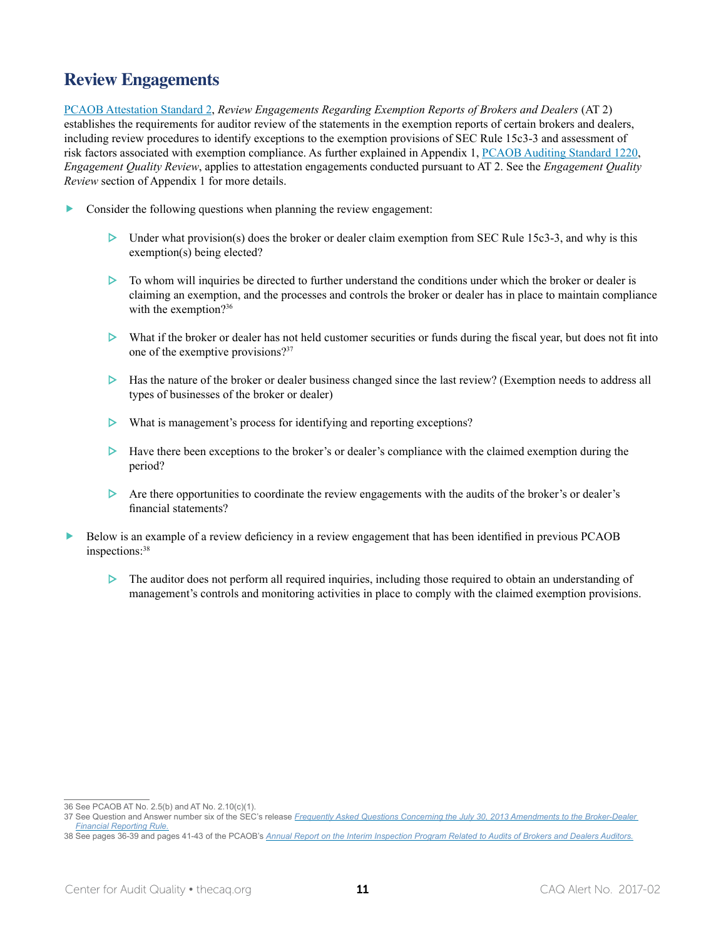## <span id="page-10-0"></span>**Review Engagements**

[PCAOB Attestation Standard 2](https://pcaobus.org/Standards/Attestation/Pages/AT2.aspx), *Review Engagements Regarding Exemption Reports of Brokers and Dealers* (AT 2) establishes the requirements for auditor review of the statements in the exemption reports of certain brokers and dealers, including review procedures to identify exceptions to the exemption provisions of SEC Rule 15c3-3 and assessment of risk factors associated with exemption compliance. As further explained in Appendix 1, [PCAOB Auditing Standard 1220](https://pcaobus.org/Standards/Auditing/Pages/AS1220.aspx), *Engagement Quality Review*, applies to attestation engagements conducted pursuant to AT 2. See the *Engagement Quality Review* section of Appendix 1 for more details.

- Consider the following questions when planning the review engagement:
	- $\triangleright$  Under what provision(s) does the broker or dealer claim exemption from SEC Rule 15c3-3, and why is this exemption(s) being elected?
	- $\triangleright$  To whom will inquiries be directed to further understand the conditions under which the broker or dealer is claiming an exemption, and the processes and controls the broker or dealer has in place to maintain compliance with the exemption?<sup>36</sup>
	- $\triangleright$  What if the broker or dealer has not held customer securities or funds during the fiscal year, but does not fit into one of the exemptive provisions?<sup>37</sup>
	- $\triangleright$  Has the nature of the broker or dealer business changed since the last review? (Exemption needs to address all types of businesses of the broker or dealer)
	- What is management's process for identifying and reporting exceptions?
	- $\triangleright$  Have there been exceptions to the broker's or dealer's compliance with the claimed exemption during the period?
	- $\triangleright$  Are there opportunities to coordinate the review engagements with the audits of the broker's or dealer's financial statements?
- Below is an example of a review deficiency in a review engagement that has been identified in previous PCAOB inspections:<sup>38</sup>
	- $\triangleright$  The auditor does not perform all required inquiries, including those required to obtain an understanding of management's controls and monitoring activities in place to comply with the claimed exemption provisions.

<sup>36</sup> See PCAOB AT No. 2.5(b) and AT No. 2.10(c)(1).

<sup>37</sup> See Question and Answer number six of the SEC's release *[Frequently Asked Questions Concerning the July 30, 2013 Amendments to the Broker-Dealer](https://www.sec.gov/divisions/marketreg/amendments-to-broker-dealer-reporting-rule-faq.htm)  [Financial Reporting Rule](https://www.sec.gov/divisions/marketreg/amendments-to-broker-dealer-reporting-rule-faq.htm).*

<sup>38</sup> See pages 36-39 and pages 41-43 of the PCAOB's *[Annual Report on the Interim Inspection Program Related to Audits of Brokers and Dealers Auditors](https://pcaobus.org/Inspections/Documents/BD-Interim-Inspection-Program-2016.pdf).*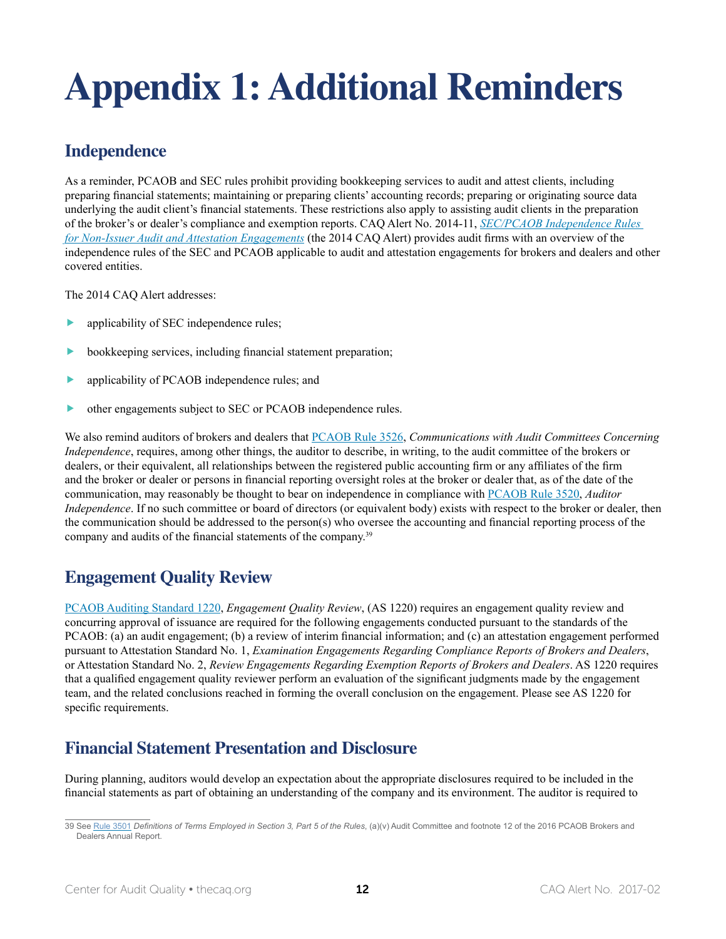# <span id="page-11-0"></span>**Appendix 1: Additional Reminders**

## **Independence**

As a reminder, PCAOB and SEC rules prohibit providing bookkeeping services to audit and attest clients, including preparing financial statements; maintaining or preparing clients' accounting records; preparing or originating source data underlying the audit client's financial statements. These restrictions also apply to assisting audit clients in the preparation of the broker's or dealer's compliance and exemption reports. CAQ Alert No. 2014-11, *[SEC/PCAOB Independence Rules](https://www.aicpa.org/InterestAreas/FRC/IndustryInsights/DownloadableDocuments/BRD/BRD_Independence_Alert.pdf)  [for Non-Issuer Audit and Attestation Engagements](https://www.aicpa.org/InterestAreas/FRC/IndustryInsights/DownloadableDocuments/BRD/BRD_Independence_Alert.pdf)* (the 2014 CAQ Alert) provides audit firms with an overview of the independence rules of the SEC and PCAOB applicable to audit and attestation engagements for brokers and dealers and other covered entities.

The 2014 CAQ Alert addresses:

- **•** applicability of SEC independence rules;
- bookkeeping services, including financial statement preparation;
- applicability of PCAOB independence rules; and
- other engagements subject to SEC or PCAOB independence rules.

We also remind auditors of brokers and dealers that [PCAOB Rule 3526](https://pcaobus.org/Rules/Pages/Section_3.aspx#rule3526), *Communications with Audit Committees Concerning Independence*, requires, among other things, the auditor to describe, in writing, to the audit committee of the brokers or dealers, or their equivalent, all relationships between the registered public accounting firm or any affiliates of the firm and the broker or dealer or persons in financial reporting oversight roles at the broker or dealer that, as of the date of the communication, may reasonably be thought to bear on independence in compliance with [PCAOB Rule 3520](https://pcaobus.org/Rules/Pages/Section_3.aspx#rule3520), *Auditor Independence*. If no such committee or board of directors (or equivalent body) exists with respect to the broker or dealer, then the communication should be addressed to the person(s) who oversee the accounting and financial reporting process of the company and audits of the financial statements of the company.<sup>39</sup>

## **Engagement Quality Review**

[PCAOB Auditing Standard 1220](https://pcaobus.org/Standards/Auditing/Pages/AS1220.aspx), *Engagement Quality Review*, (AS 1220) requires an engagement quality review and concurring approval of issuance are required for the following engagements conducted pursuant to the standards of the PCAOB: (a) an audit engagement; (b) a review of interim financial information; and (c) an attestation engagement performed pursuant to Attestation Standard No. 1, *Examination Engagements Regarding Compliance Reports of Brokers and Dealers*, or Attestation Standard No. 2, *Review Engagements Regarding Exemption Reports of Brokers and Dealers*. AS 1220 requires that a qualified engagement quality reviewer perform an evaluation of the significant judgments made by the engagement team, and the related conclusions reached in forming the overall conclusion on the engagement. Please see AS 1220 for specific requirements.

## **Financial Statement Presentation and Disclosure**

During planning, auditors would develop an expectation about the appropriate disclosures required to be included in the financial statements as part of obtaining an understanding of the company and its environment. The auditor is required to

<sup>39</sup> See [Rule 3501](https://pcaobus.org/Rules/Pages/Section_3.aspx) *Definitions of Terms Employed in Section 3, Part 5 of the Rules*, (a)(v) Audit Committee and footnote 12 of the 2016 PCAOB Brokers and Dealers Annual Report.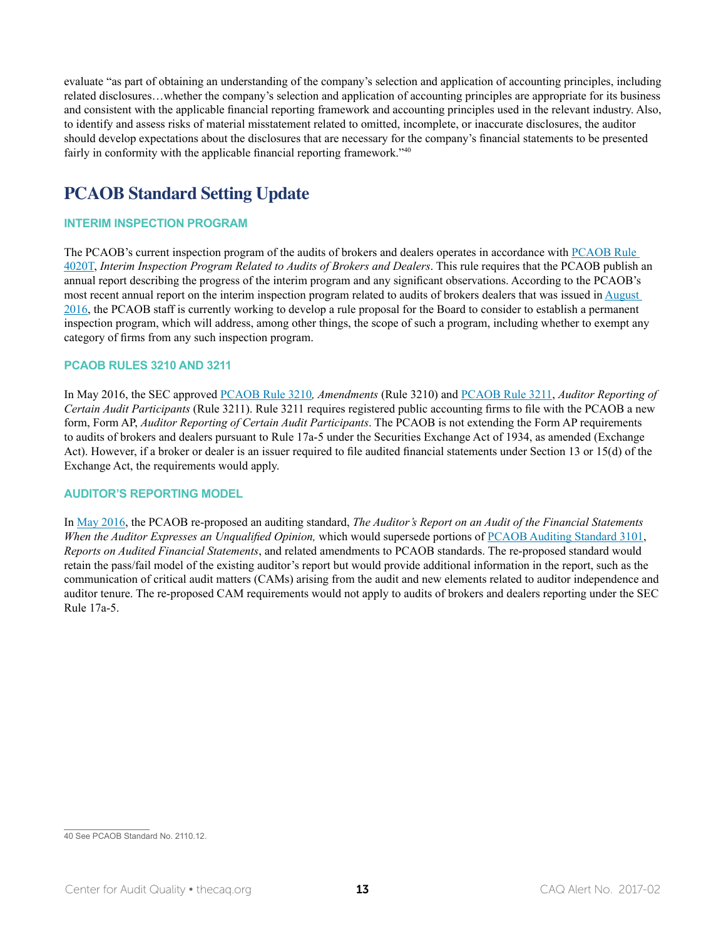evaluate "as part of obtaining an understanding of the company's selection and application of accounting principles, including related disclosures…whether the company's selection and application of accounting principles are appropriate for its business and consistent with the applicable financial reporting framework and accounting principles used in the relevant industry. Also, to identify and assess risks of material misstatement related to omitted, incomplete, or inaccurate disclosures, the auditor should develop expectations about the disclosures that are necessary for the company's financial statements to be presented fairly in conformity with the applicable financial reporting framework."<sup>40</sup>

## **PCAOB Standard Setting Update**

#### **INTERIM INSPECTION PROGRAM**

The PCAOB's current inspection program of the audits of brokers and dealers operates in accordance with [PCAOB Rule](https://pcaobus.org/Rules/Pages/Section_4.aspx#rule4020t)  [4020T](https://pcaobus.org/Rules/Pages/Section_4.aspx#rule4020t), *Interim Inspection Program Related to Audits of Brokers and Dealers*. This rule requires that the PCAOB publish an annual report describing the progress of the interim program and any significant observations. According to the PCAOB's most recent annual report on the interim inspection program related to audits of brokers dealers that was issued in [August](https://pcaobus.org/News/Releases/Pages/B-D-Annual-Report-081816.aspx)  [2016](https://pcaobus.org/News/Releases/Pages/B-D-Annual-Report-081816.aspx), the PCAOB staff is currently working to develop a rule proposal for the Board to consider to establish a permanent inspection program, which will address, among other things, the scope of such a program, including whether to exempt any category of firms from any such inspection program.

#### **PCAOB RULES 3210 AND 3211**

In May 2016, the SEC approved [PCAOB Rule 3210](https://pcaobus.org/Rules/Pages/Rule-3210-3211.aspx)*, Amendments* (Rule 3210) and [PCAOB Rule 3211](https://pcaobus.org/Rules/Pages/Rule-3210-3211.aspx), *Auditor Reporting of Certain Audit Participants* (Rule 3211). Rule 3211 requires registered public accounting firms to file with the PCAOB a new form, Form AP, *Auditor Reporting of Certain Audit Participants*. The PCAOB is not extending the Form AP requirements to audits of brokers and dealers pursuant to Rule 17a-5 under the Securities Exchange Act of 1934, as amended (Exchange Act). However, if a broker or dealer is an issuer required to file audited financial statements under Section 13 or 15(d) of the Exchange Act, the requirements would apply.

#### **AUDITOR'S REPORTING MODEL**

In [May 2016,](https://pcaobus.org/Rulemaking/Docket034/Release-2016-003-ARM.pdf) the PCAOB re-proposed an auditing standard, *The Auditor's Report on an Audit of the Financial Statements When the Auditor Expresses an Unqualified Opinion,* which would supersede portions of [PCAOB Auditing Standard 3101](https://pcaobus.org/Standards/Auditing/Pages/AS3101.aspx), *Reports on Audited Financial Statements*, and related amendments to PCAOB standards. The re-proposed standard would retain the pass/fail model of the existing auditor's report but would provide additional information in the report, such as the communication of critical audit matters (CAMs) arising from the audit and new elements related to auditor independence and auditor tenure. The re-proposed CAM requirements would not apply to audits of brokers and dealers reporting under the SEC Rule 17a-5.

<sup>40</sup> See PCAOB Standard No. 2110.12.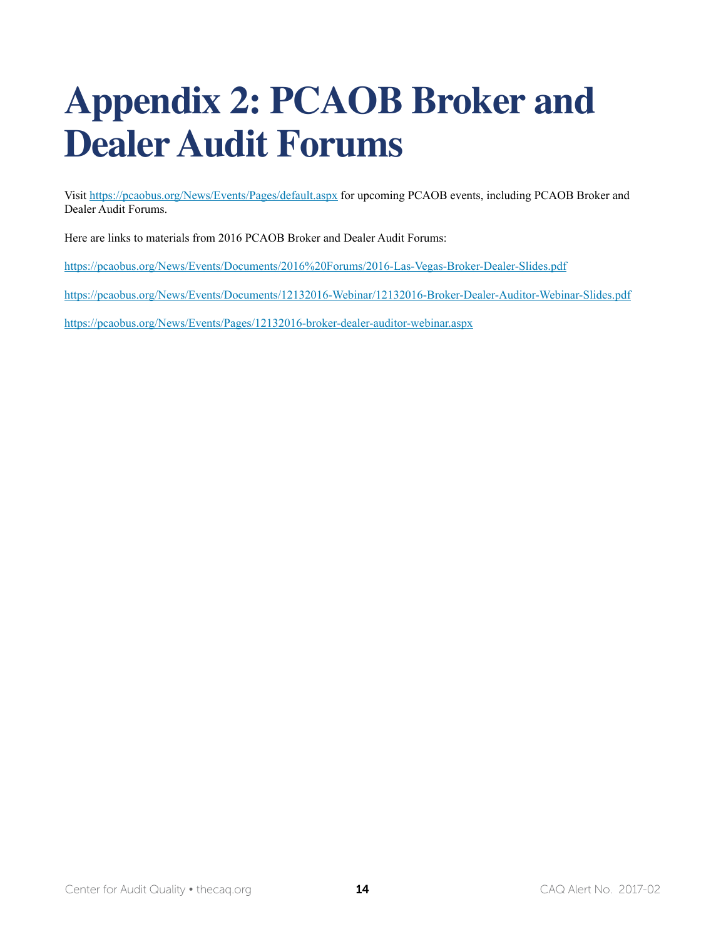## <span id="page-13-0"></span>**Appendix 2: PCAOB Broker and Dealer Audit Forums**

Visit <https://pcaobus.org/News/Events/Pages/default.aspx>for upcoming PCAOB events, including PCAOB Broker and Dealer Audit Forums.

Here are links to materials from 2016 PCAOB Broker and Dealer Audit Forums:

[https://pcaobus.org/News/Events/Documents/2016%20Forums/2016-Las-Vegas-Broker-Dealer-Slides.pdf](https://pcaobus.org/News/Events/Documents/2016 Forums/2016-Las-Vegas-Broker-Dealer-Slides.pdf)

<https://pcaobus.org/News/Events/Documents/12132016-Webinar/12132016-Broker-Dealer-Auditor-Webinar-Slides.pdf>

<https://pcaobus.org/News/Events/Pages/12132016-broker-dealer-auditor-webinar.aspx>